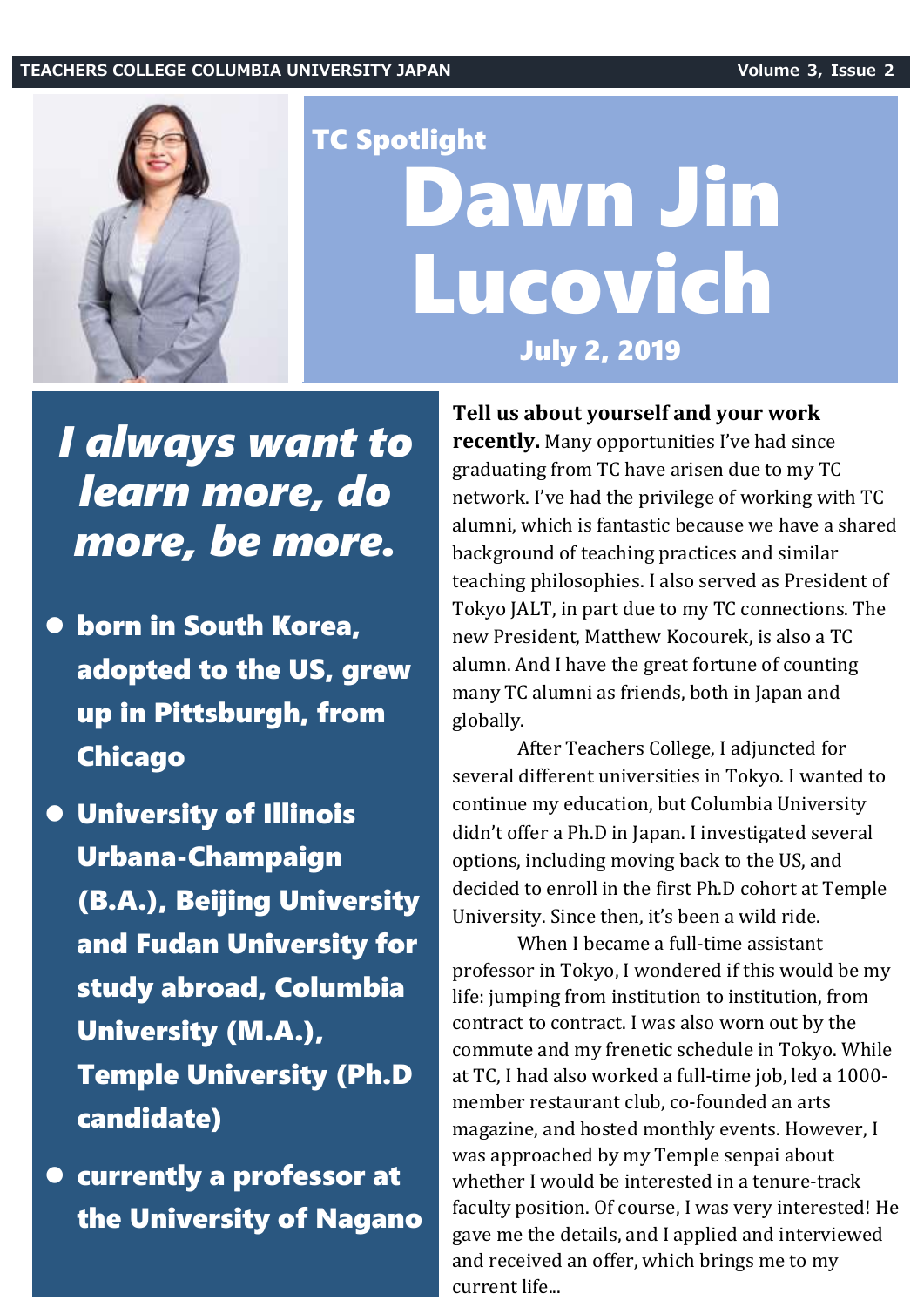

## TC Spotlight Dawn Jin Lucovich July 2, 2019

## *I always want to learn more, do more, be more.*

- born in South Korea, adopted to the US, grew up in Pittsburgh, from Chicago
- University of Illinois Urbana-Champaign (B.A.), Beijing University and Fudan University for study abroad, Columbia University (M.A.), Temple University (Ph.D candidate)
- currently a professor at the University of Nagano

**Tell us about yourself and your work**

**recently.** Many opportunities I've had since graduating from TC have arisen due to my TC network. I've had the privilege of working with TC alumni, which is fantastic because we have a shared background of teaching practices and similar teaching philosophies. I also served as President of Tokyo JALT, in part due to my TC connections. The new President, Matthew Kocourek, is also a TC alumn. And I have the great fortune of counting many TC alumni as friends, both in Japan and globally.

After Teachers College, I adjuncted for several different universities in Tokyo. I wanted to continue my education, but Columbia University didn't offer a Ph.D in Japan. I investigated several options, including moving back to the US, and decided to enroll in the first Ph.D cohort at Temple University. Since then, it's been a wild ride.

When I became a full-time assistant professor in Tokyo, I wondered if this would be my life: jumping from institution to institution, from contract to contract. I was also worn out by the commute and my frenetic schedule in Tokyo. While at TC, I had also worked a full-time job, led a 1000 member restaurant club, co-founded an arts magazine, and hosted monthly events. However, I was approached by my Temple senpai about whether I would be interested in a tenure-track faculty position. Of course, I was very interested! He gave me the details, and I applied and interviewed and received an offer, which brings me to my current life...